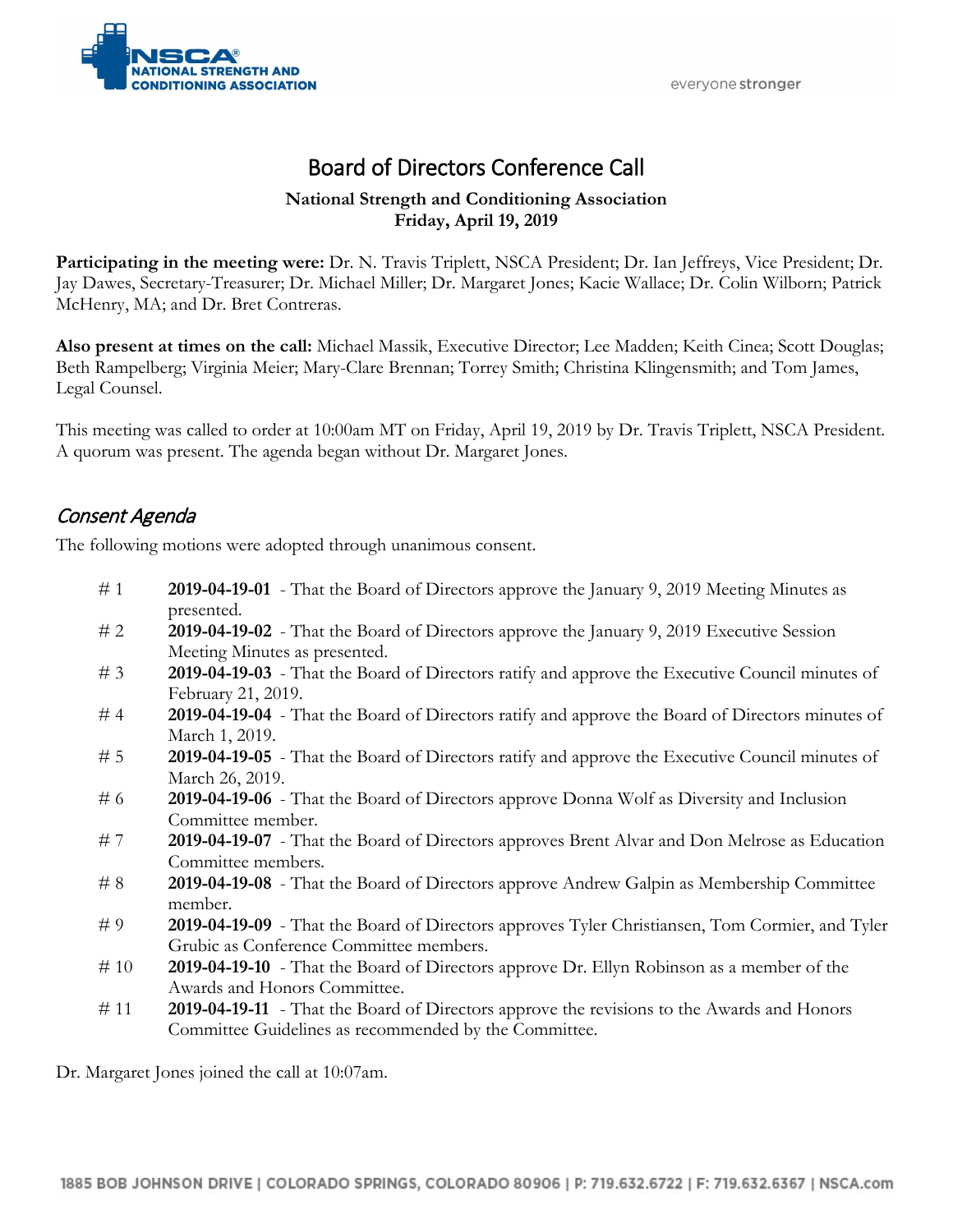



# Board of Directors Conference Call

#### **National Strength and Conditioning Association Friday, April 19, 2019**

**Participating in the meeting were:** Dr. N. Travis Triplett, NSCA President; Dr. Ian Jeffreys, Vice President; Dr. Jay Dawes, Secretary-Treasurer; Dr. Michael Miller; Dr. Margaret Jones; Kacie Wallace; Dr. Colin Wilborn; Patrick McHenry, MA; and Dr. Bret Contreras.

**Also present at times on the call:** Michael Massik, Executive Director; Lee Madden; Keith Cinea; Scott Douglas; Beth Rampelberg; Virginia Meier; Mary-Clare Brennan; Torrey Smith; Christina Klingensmith; and Tom James, Legal Counsel.

This meeting was called to order at 10:00am MT on Friday, April 19, 2019 by Dr. Travis Triplett, NSCA President. A quorum was present. The agenda began without Dr. Margaret Jones.

## Consent Agenda

The following motions were adopted through unanimous consent.

- # 1 **2019-04-19-01** That the Board of Directors approve the January 9, 2019 Meeting Minutes as presented.
- # 2 **2019-04-19-02** That the Board of Directors approve the January 9, 2019 Executive Session Meeting Minutes as presented.
- # 3 **2019-04-19-03** That the Board of Directors ratify and approve the Executive Council minutes of February 21, 2019.
- # 4 **2019-04-19-04** That the Board of Directors ratify and approve the Board of Directors minutes of March 1, 2019.
- # 5 **2019-04-19-05** That the Board of Directors ratify and approve the Executive Council minutes of March 26, 2019.
- # 6 **2019-04-19-06** That the Board of Directors approve Donna Wolf as Diversity and Inclusion Committee member.
- # 7 **2019-04-19-07** That the Board of Directors approves Brent Alvar and Don Melrose as Education Committee members.
- # 8 **2019-04-19-08** That the Board of Directors approve Andrew Galpin as Membership Committee member.
- # 9 **2019-04-19-09** That the Board of Directors approves Tyler Christiansen, Tom Cormier, and Tyler Grubic as Conference Committee members.
- # 10 **2019-04-19-10** That the Board of Directors approve Dr. Ellyn Robinson as a member of the Awards and Honors Committee.
- # 11 **2019-04-19-11** That the Board of Directors approve the revisions to the Awards and Honors Committee Guidelines as recommended by the Committee.

Dr. Margaret Jones joined the call at 10:07am.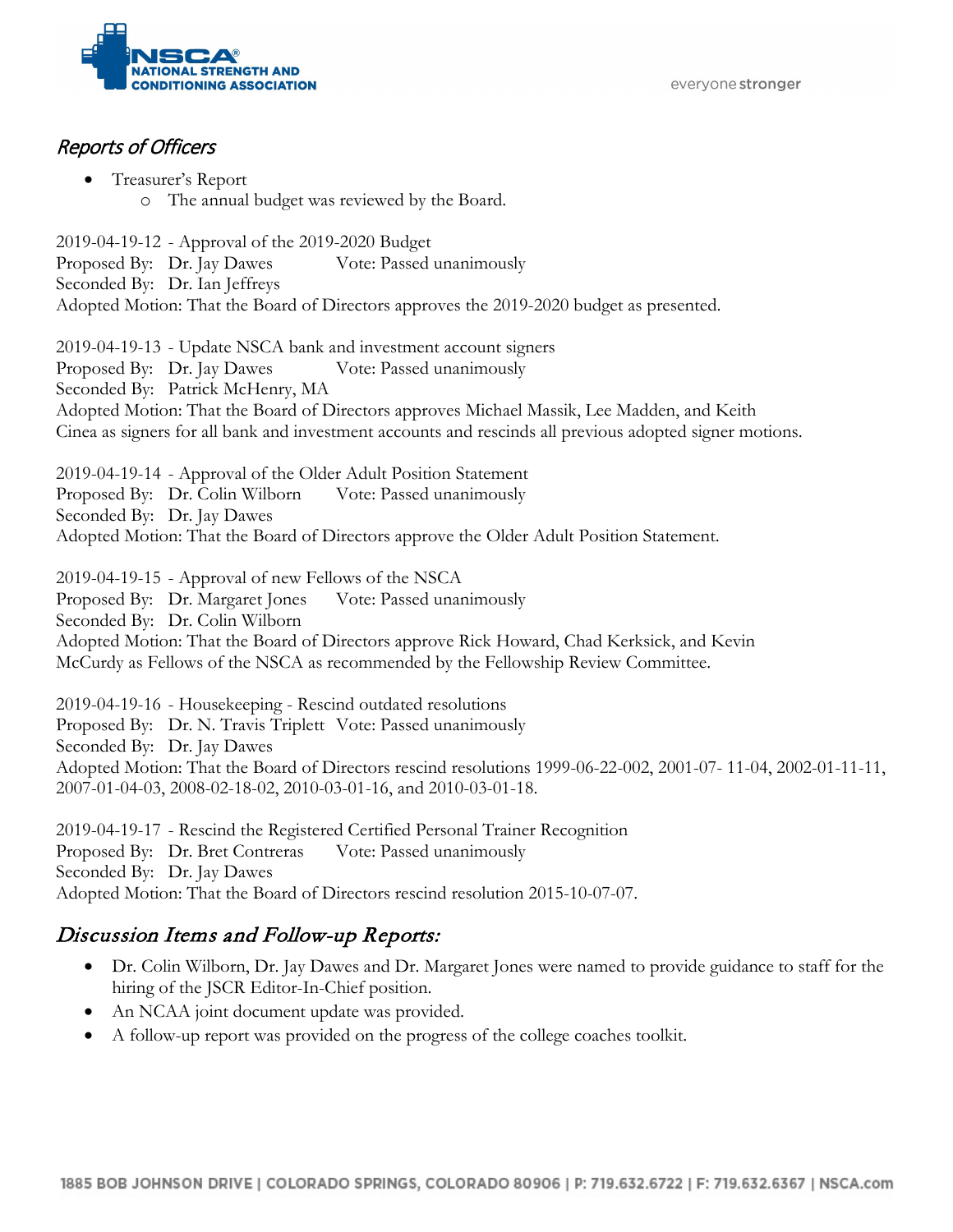everyone stronger



### Reports of Officers

• Treasurer's Report o The annual budget was reviewed by the Board.

2019-04-19-12 - Approval of the 2019-2020 Budget Proposed By: Dr. Jay Dawes Vote: Passed unanimously Seconded By: Dr. Ian Jeffreys Adopted Motion: That the Board of Directors approves the 2019-2020 budget as presented.

2019-04-19-13 - Update NSCA bank and investment account signers Proposed By: Dr. Jay Dawes Vote: Passed unanimously Seconded By: Patrick McHenry, MA Adopted Motion: That the Board of Directors approves Michael Massik, Lee Madden, and Keith Cinea as signers for all bank and investment accounts and rescinds all previous adopted signer motions.

2019-04-19-14 - Approval of the Older Adult Position Statement Proposed By: Dr. Colin Wilborn Vote: Passed unanimously Seconded By: Dr. Jay Dawes Adopted Motion: That the Board of Directors approve the Older Adult Position Statement.

2019-04-19-15 - Approval of new Fellows of the NSCA Proposed By: Dr. Margaret Jones Vote: Passed unanimously Seconded By: Dr. Colin Wilborn Adopted Motion: That the Board of Directors approve Rick Howard, Chad Kerksick, and Kevin McCurdy as Fellows of the NSCA as recommended by the Fellowship Review Committee.

2019-04-19-16 - Housekeeping - Rescind outdated resolutions Proposed By: Dr. N. Travis Triplett Vote: Passed unanimously Seconded By: Dr. Jay Dawes Adopted Motion: That the Board of Directors rescind resolutions 1999-06-22-002, 2001-07- 11-04, 2002-01-11-11, 2007-01-04-03, 2008-02-18-02, 2010-03-01-16, and 2010-03-01-18.

2019-04-19-17 - Rescind the Registered Certified Personal Trainer Recognition Proposed By: Dr. Bret Contreras Vote: Passed unanimously Seconded By: Dr. Jay Dawes Adopted Motion: That the Board of Directors rescind resolution 2015-10-07-07.

## Discussion Items and Follow-up Reports:

- Dr. Colin Wilborn, Dr. Jay Dawes and Dr. Margaret Jones were named to provide guidance to staff for the hiring of the JSCR Editor-In-Chief position.
- An NCAA joint document update was provided.
- A follow-up report was provided on the progress of the college coaches toolkit.